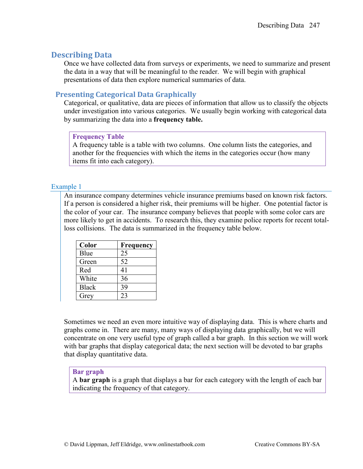# **Describing Data**

Once we have collected data from surveys or experiments, we need to summarize and present the data in a way that will be meaningful to the reader. We will begin with graphical presentations of data then explore numerical summaries of data.

# **Presenting Categorical Data Graphically**

Categorical, or qualitative, data are pieces of information that allow us to classify the objects under investigation into various categories. We usually begin working with categorical data by summarizing the data into a **frequency table.**

# **Frequency Table**

A frequency table is a table with two columns. One column lists the categories, and another for the frequencies with which the items in the categories occur (how many items fit into each category).

# Example 1

An insurance company determines vehicle insurance premiums based on known risk factors. If a person is considered a higher risk, their premiums will be higher. One potential factor is the color of your car. The insurance company believes that people with some color cars are more likely to get in accidents. To research this, they examine police reports for recent totalloss collisions. The data is summarized in the frequency table below.

| Color        | <b>Frequency</b> |
|--------------|------------------|
| Blue         | 25               |
| Green        | 52               |
| Red          | 41               |
| White        | 36               |
| <b>Black</b> | 39               |
| Grey         | つく               |

Sometimes we need an even more intuitive way of displaying data. This is where charts and graphs come in. There are many, many ways of displaying data graphically, but we will concentrate on one very useful type of graph called a bar graph. In this section we will work with bar graphs that display categorical data; the next section will be devoted to bar graphs that display quantitative data.

# **Bar graph**

A **bar graph** is a graph that displays a bar for each category with the length of each bar indicating the frequency of that category.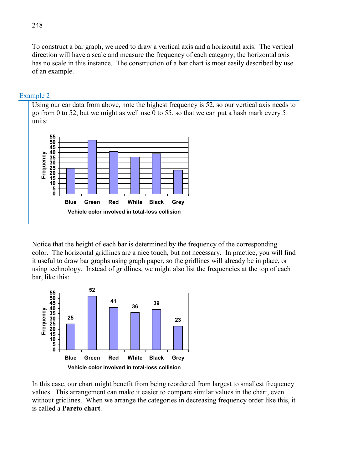To construct a bar graph, we need to draw a vertical axis and a horizontal axis. The vertical direction will have a scale and measure the frequency of each category; the horizontal axis has no scale in this instance. The construction of a bar chart is most easily described by use of an example.

### Example 2

Using our car data from above, note the highest frequency is 52, so our vertical axis needs to go from 0 to 52, but we might as well use 0 to 55, so that we can put a hash mark every 5 units:



Notice that the height of each bar is determined by the frequency of the corresponding color. The horizontal gridlines are a nice touch, but not necessary. In practice, you will find it useful to draw bar graphs using graph paper, so the gridlines will already be in place, or using technology. Instead of gridlines, we might also list the frequencies at the top of each bar, like this:



In this case, our chart might benefit from being reordered from largest to smallest frequency values. This arrangement can make it easier to compare similar values in the chart, even without gridlines. When we arrange the categories in decreasing frequency order like this, it is called a **Pareto chart**.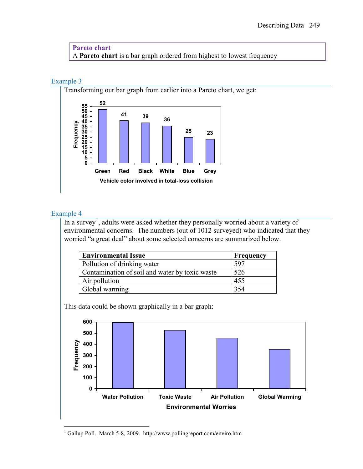**Pareto chart** A **Pareto chart** is a bar graph ordered from highest to lowest frequency

# Example 3

Transforming our bar graph from earlier into a Pareto chart, we get:



# Example 4

In a survey<sup>[1](#page-2-0)</sup>, adults were asked whether they personally worried about a variety of environmental concerns. The numbers (out of 1012 surveyed) who indicated that they worried "a great deal" about some selected concerns are summarized below.

| <b>Environmental Issue</b>                     | Frequency |
|------------------------------------------------|-----------|
| Pollution of drinking water                    | 597       |
| Contamination of soil and water by toxic waste | 526       |
| Air pollution                                  | 455       |
| Global warming                                 | 354       |

This data could be shown graphically in a bar graph:



<span id="page-2-0"></span> <sup>1</sup> Gallup Poll. March 5-8, 2009. http://www.pollingreport.com/enviro.htm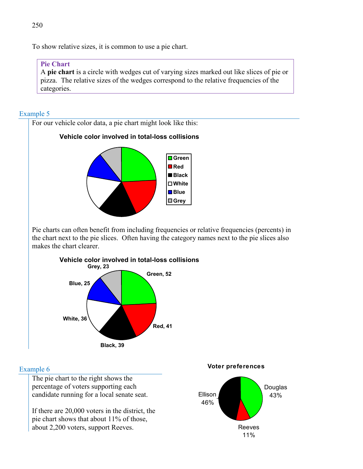To show relative sizes, it is common to use a pie chart.

#### **Pie Chart**

A **pie chart** is a circle with wedges cut of varying sizes marked out like slices of pie or pizza. The relative sizes of the wedges correspond to the relative frequencies of the categories.

### Example 5



#### Example 6

The pie chart to the right shows the percentage of voters supporting each candidate running for a local senate seat.

If there are 20,000 voters in the district, the pie chart shows that about 11% of those, about 2,200 voters, support Reeves.



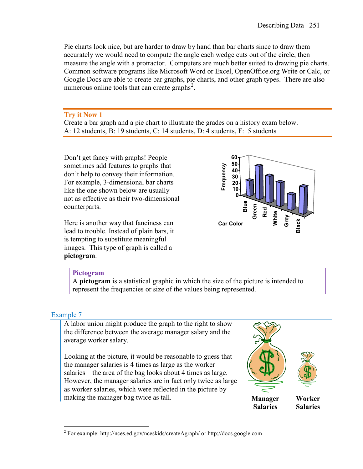Pie charts look nice, but are harder to draw by hand than bar charts since to draw them accurately we would need to compute the angle each wedge cuts out of the circle, then measure the angle with a protractor. Computers are much better suited to drawing pie charts. Common software programs like Microsoft Word or Excel, OpenOffice.org Write or Calc, or Google Docs are able to create bar graphs, pie charts, and other graph types. There are also numerous online tools that can create graphs<sup>[2](#page-4-0)</sup>.

### **Try it Now 1**

Create a bar graph and a pie chart to illustrate the grades on a history exam below. A: 12 students, B: 19 students, C: 14 students, D: 4 students, F: 5 students

Don't get fancy with graphs! People sometimes add features to graphs that don't help to convey their information. For example, 3-dimensional bar charts like the one shown below are usually not as effective as their two-dimensional counterparts.

Here is another way that fanciness can lead to trouble. Instead of plain bars, it is tempting to substitute meaningful images. This type of graph is called a **pictogram**.



#### **Pictogram**

A **pictogram** is a statistical graphic in which the size of the picture is intended to represent the frequencies or size of the values being represented.

# Example 7

A labor union might produce the graph to the right to show the difference between the average manager salary and the average worker salary.

<span id="page-4-0"></span>Looking at the picture, it would be reasonable to guess that the manager salaries is 4 times as large as the worker salaries – the area of the bag looks about 4 times as large. However, the manager salaries are in fact only twice as large as worker salaries, which were reflected in the picture by making the manager bag twice as tall.



 <sup>2</sup> For example: http://nces.ed.gov/nceskids/createAgraph/ or http://docs.google.com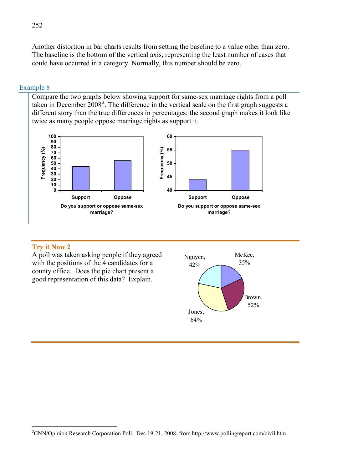Another distortion in bar charts results from setting the baseline to a value other than zero. The baseline is the bottom of the vertical axis, representing the least number of cases that could have occurred in a category. Normally, this number should be zero.

#### Example 8

Compare the two graphs below showing support for same-sex marriage rights from a poll taken in December  $2008<sup>3</sup>$  $2008<sup>3</sup>$  $2008<sup>3</sup>$ . The difference in the vertical scale on the first graph suggests a different story than the true differences in percentages; the second graph makes it look like twice as many people oppose marriage rights as support it.



#### **Try it Now 2**

A poll was taken asking people if they agreed with the positions of the 4 candidates for a county office. Does the pie chart present a good representation of this data? Explain.



<span id="page-5-0"></span><sup>&</sup>lt;sup>2</sup><br>3 <sup>3</sup>CNN/Opinion Research Corporation Poll. Dec 19-21, 2008, from http://www.pollingreport.com/civil.htm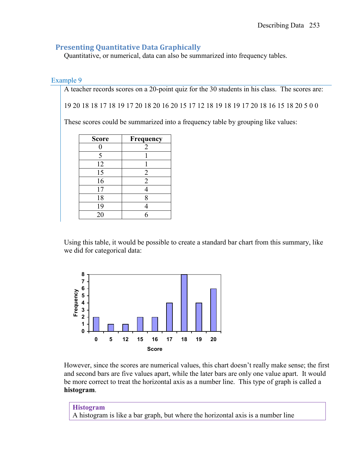# **Presenting Quantitative Data Graphically**

Quantitative, or numerical, data can also be summarized into frequency tables.

### Example 9

A teacher records scores on a 20-point quiz for the 30 students in his class. The scores are:

19 20 18 18 17 18 19 17 20 18 20 16 20 15 17 12 18 19 18 19 17 20 18 16 15 18 20 5 0 0

These scores could be summarized into a frequency table by grouping like values:

| <b>Score</b> | Frequency      |
|--------------|----------------|
|              | 2              |
| 5            |                |
| 12           |                |
| 15           | 2              |
| 16           | $\overline{2}$ |
| 17           |                |
| 18           | 8              |
| 19           |                |
| 20           |                |

Using this table, it would be possible to create a standard bar chart from this summary, like we did for categorical data:



However, since the scores are numerical values, this chart doesn't really make sense; the first and second bars are five values apart, while the later bars are only one value apart. It would be more correct to treat the horizontal axis as a number line. This type of graph is called a **histogram**.

**Histogram** A histogram is like a bar graph, but where the horizontal axis is a number line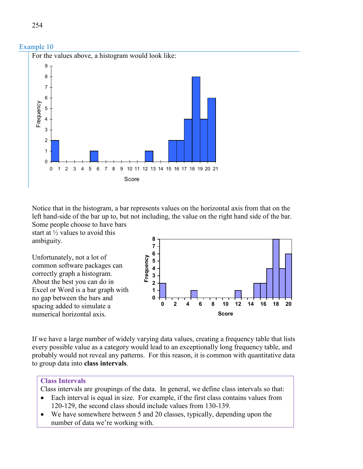

Notice that in the histogram, a bar represents values on the horizontal axis from that on the left hand-side of the bar up to, but not including, the value on the right hand side of the bar. Some people choose to have bars

start at ½ values to avoid this ambiguity.

Unfortunately, not a lot of common software packages can correctly graph a histogram. About the best you can do in Excel or Word is a bar graph with no gap between the bars and spacing added to simulate a numerical horizontal axis.



If we have a large number of widely varying data values, creating a frequency table that lists every possible value as a category would lead to an exceptionally long frequency table, and probably would not reveal any patterns. For this reason, it is common with quantitative data to group data into **class intervals**.

# **Class Intervals**

- Class intervals are groupings of the data. In general, we define class intervals so that:
- Each interval is equal in size. For example, if the first class contains values from 120-129, the second class should include values from 130-139.
- We have somewhere between 5 and 20 classes, typically, depending upon the number of data we're working with.

Example 10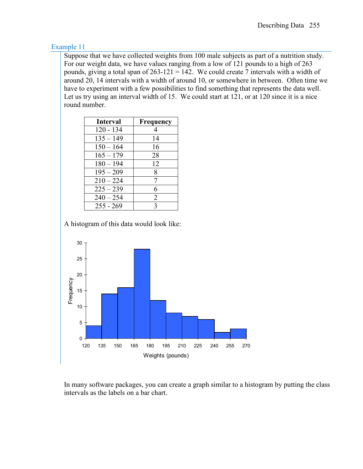Suppose that we have collected weights from 100 male subjects as part of a nutrition study. For our weight data, we have values ranging from a low of 121 pounds to a high of 263 pounds, giving a total span of  $263-121 = 142$ . We could create 7 intervals with a width of around 20, 14 intervals with a width of around 10, or somewhere in between. Often time we have to experiment with a few possibilities to find something that represents the data well. Let us try using an interval width of 15. We could start at 121, or at 120 since it is a nice round number.

| Interval    | <b>Frequency</b> |
|-------------|------------------|
| $120 - 134$ | 4                |
| $135 - 149$ | 14               |
| $150 - 164$ | 16               |
| $165 - 179$ | 28               |
| $180 - 194$ | 12               |
| $195 - 209$ | 8                |
| $210 - 224$ | 7                |
| $225 - 239$ | 6                |
| $240 - 254$ | 2                |
| $255 - 269$ | 3                |

A histogram of this data would look like:



In many software packages, you can create a graph similar to a histogram by putting the class intervals as the labels on a bar chart.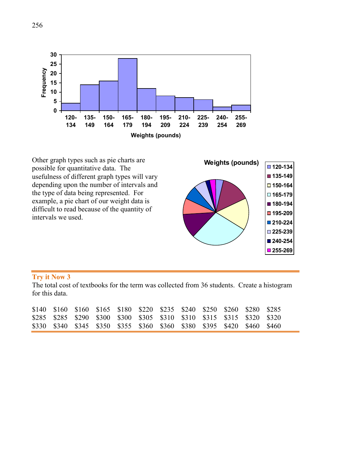



#### **Try it Now 3**

The total cost of textbooks for the term was collected from 36 students. Create a histogram for this data.

|  | \$140 \$160 \$160 \$165 \$180 \$220 \$235 \$240 \$250 \$260 \$280 \$285 |  |  |  |  |  |
|--|-------------------------------------------------------------------------|--|--|--|--|--|
|  | \$285 \$285 \$290 \$300 \$300 \$305 \$310 \$310 \$315 \$315 \$320 \$320 |  |  |  |  |  |
|  | \$330 \$340 \$345 \$350 \$355 \$360 \$360 \$380 \$395 \$420 \$460 \$460 |  |  |  |  |  |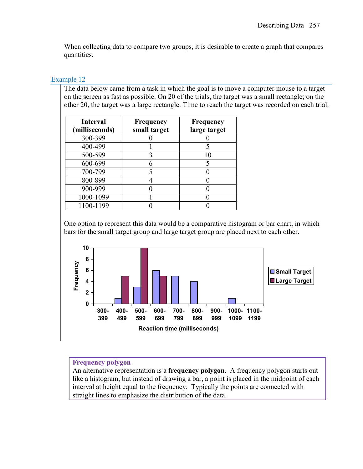When collecting data to compare two groups, it is desirable to create a graph that compares quantities.

### Example 12

The data below came from a task in which the goal is to move a computer mouse to a target on the screen as fast as possible. On 20 of the trials, the target was a small rectangle; on the other 20, the target was a large rectangle. Time to reach the target was recorded on each trial.

| <b>Interval</b><br>(milliseconds) | <b>Frequency</b><br>small target | Frequency<br>large target |
|-----------------------------------|----------------------------------|---------------------------|
| 300-399                           |                                  |                           |
| 400-499                           |                                  |                           |
| 500-599                           |                                  | 10                        |
| 600-699                           |                                  |                           |
| 700-799                           |                                  |                           |
| 800-899                           |                                  |                           |
| 900-999                           |                                  |                           |
| 1000-1099                         |                                  |                           |
| 1100-1199                         |                                  |                           |

One option to represent this data would be a comparative histogram or bar chart, in which bars for the small target group and large target group are placed next to each other.



# **Frequency polygon**

An alternative representation is a **frequency polygon**. A frequency polygon starts out like a histogram, but instead of drawing a bar, a point is placed in the midpoint of each interval at height equal to the frequency. Typically the points are connected with straight lines to emphasize the distribution of the data.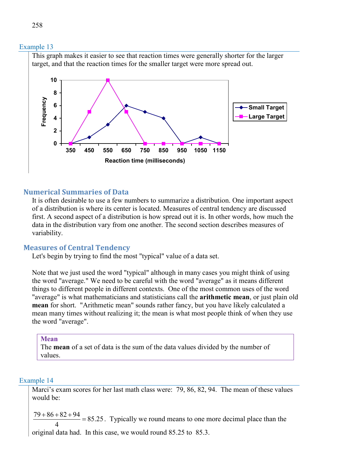

### **Numerical Summaries of Data**

It is often desirable to use a few numbers to summarize a distribution. One important aspect of a distribution is where its center is located. Measures of central tendency are discussed first. A second aspect of a distribution is how spread out it is. In other words, how much the data in the distribution vary from one another. The second section describes measures of variability.

#### **Measures of Central Tendency**

Let's begin by trying to find the most "typical" value of a data set.

Note that we just used the word "typical" although in many cases you might think of using the word "average." We need to be careful with the word "average" as it means different things to different people in different contexts. One of the most common uses of the word "average" is what mathematicians and statisticians call the **arithmetic mean**, or just plain old **mean** for short. "Arithmetic mean" sounds rather fancy, but you have likely calculated a mean many times without realizing it; the mean is what most people think of when they use the word "average".

#### **Mean**

The **mean** of a set of data is the sum of the data values divided by the number of values.

#### Example 14

Marci's exam scores for her last math class were: 79, 86, 82, 94. The mean of these values would be:

 $\frac{79 + 86 + 82 + 94}{4} = 85.25$ 4  $\frac{+86+82+94}{1}$  = 85.25. Typically we round means to one more decimal place than the

original data had. In this case, we would round 85.25 to 85.3.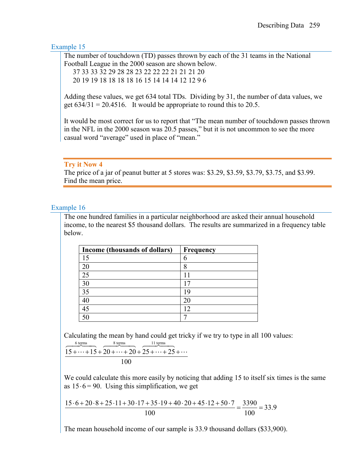The number of touchdown (TD) passes thrown by each of the 31 teams in the National Football League in the 2000 season are shown below.

37 33 33 32 29 28 28 23 22 22 22 21 21 21 20

20 19 19 18 18 18 18 16 15 14 14 14 12 12 9 6

Adding these values, we get 634 total TDs. Dividing by 31, the number of data values, we get  $634/31 = 20.4516$ . It would be appropriate to round this to 20.5.

It would be most correct for us to report that "The mean number of touchdown passes thrown in the NFL in the 2000 season was 20.5 passes," but it is not uncommon to see the more casual word "average" used in place of "mean."

#### **Try it Now 4**

The price of a jar of peanut butter at 5 stores was: \$3.29, \$3.59, \$3.79, \$3.75, and \$3.99. Find the mean price.

### Example 16

The one hundred families in a particular neighborhood are asked their annual household income, to the nearest \$5 thousand dollars. The results are summarized in a frequency table below.

| Income (thousands of dollars) | Frequency |
|-------------------------------|-----------|
| 15                            | h         |
| 20                            |           |
| 25                            |           |
| 30                            |           |
| 35                            | Q         |
| 40                            |           |
| 45                            |           |
|                               |           |

Calculating the mean by hand could get tricky if we try to type in all 100 values:

$$
\frac{\frac{6 \text{ terms}}{15 + \dots + 15 + 20 + \dots + 20 + 25 + \dots + 25 + \dots}}{100}
$$

We could calculate this more easily by noticing that adding 15 to itself six times is the same as  $15 \cdot 6 = 90$ . Using this simplification, we get

 $\frac{15 \cdot 6 + 20 \cdot 8 + 25 \cdot 11 + 30 \cdot 17 + 35 \cdot 19 + 40 \cdot 20 + 45 \cdot 12 + 50 \cdot 7}{100} = \frac{3390}{100} = 33.9$ 100 100  $\frac{6+20\cdot 8+25\cdot 11+30\cdot 17+35\cdot 19+40\cdot 20+45\cdot 12+50\cdot 7}{600}=\frac{3390}{1000}=\frac{3390}{1000}=\frac{3390}{100}=\frac{3390}{100}=\frac{3390}{100}=\frac{3390}{100}=\frac{3390}{100}=\frac{3390}{100}=\frac{3390}{100}=\frac{3390}{100}=\frac{3390}{100}=\frac{3390}{100}=\frac{3390}{100$ 

The mean household income of our sample is 33.9 thousand dollars (\$33,900).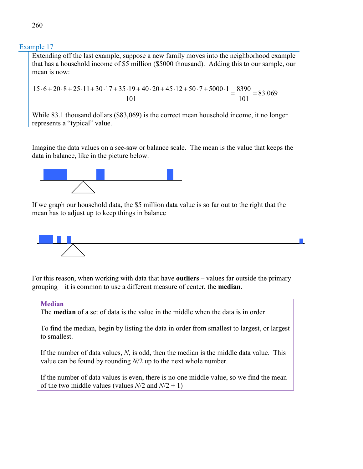Extending off the last example, suppose a new family moves into the neighborhood example that has a household income of \$5 million (\$5000 thousand). Adding this to our sample, our mean is now:

 $\frac{15 \cdot 6 + 20 \cdot 8 + 25 \cdot 11 + 30 \cdot 17 + 35 \cdot 19 + 40 \cdot 20 + 45 \cdot 12 + 50 \cdot 7 + 5000 \cdot 1}{101} = \frac{8390}{101} = 83.069$ 101 101  $\frac{6+20\cdot 8+25\cdot 11+30\cdot 17+35\cdot 19+40\cdot 20+45\cdot 12+50\cdot 7+5000\cdot 1}{8390}=\frac{8390}{1000}$ 

While 83.1 thousand dollars (\$83,069) is the correct mean household income, it no longer represents a "typical" value.

Imagine the data values on a see-saw or balance scale. The mean is the value that keeps the data in balance, like in the picture below.



If we graph our household data, the \$5 million data value is so far out to the right that the mean has to adjust up to keep things in balance



For this reason, when working with data that have **outliers** – values far outside the primary grouping – it is common to use a different measure of center, the **median**.

#### **Median**

The **median** of a set of data is the value in the middle when the data is in order

To find the median, begin by listing the data in order from smallest to largest, or largest to smallest.

If the number of data values, *N*, is odd, then the median is the middle data value. This value can be found by rounding *N*/2 up to the next whole number.

If the number of data values is even, there is no one middle value, so we find the mean of the two middle values (values  $N/2$  and  $N/2 + 1$ )

260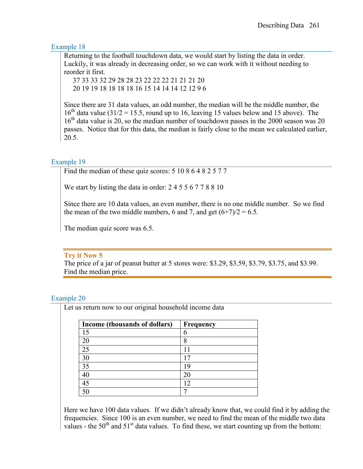Returning to the football touchdown data, we would start by listing the data in order. Luckily, it was already in decreasing order, so we can work with it without needing to reorder it first.

 37 33 33 32 29 28 28 23 22 22 22 21 21 21 20 20 19 19 18 18 18 18 16 15 14 14 14 12 12 9 6

Since there are 31 data values, an odd number, the median will be the middle number, the  $16<sup>th</sup>$  data value (31/2 = 15.5, round up to 16, leaving 15 values below and 15 above). The  $16<sup>th</sup>$  data value is 20, so the median number of touchdown passes in the 2000 season was 20 passes. Notice that for this data, the median is fairly close to the mean we calculated earlier, 20.5.

### Example 19

Find the median of these quiz scores: 5 10 8 6 4 8 2 5 7 7

We start by listing the data in order: 2 4 5 5 6 7 7 8 8 10

Since there are 10 data values, an even number, there is no one middle number. So we find the mean of the two middle numbers, 6 and 7, and get  $(6+7)/2 = 6.5$ .

The median quiz score was 6.5.

#### **Try it Now 5**

The price of a jar of peanut butter at 5 stores were: \$3.29, \$3.59, \$3.79, \$3.75, and \$3.99. Find the median price.

#### Example 20

Let us return now to our original household income data

| Income (thousands of dollars) | Frequency |
|-------------------------------|-----------|
| 15                            | h         |
|                               | 8         |
|                               |           |
|                               |           |
| 35                            |           |
|                               |           |
|                               |           |
|                               |           |

Here we have 100 data values. If we didn't already know that, we could find it by adding the frequencies. Since 100 is an even number, we need to find the mean of the middle two data values - the  $50<sup>th</sup>$  and  $51<sup>st</sup>$  data values. To find these, we start counting up from the bottom: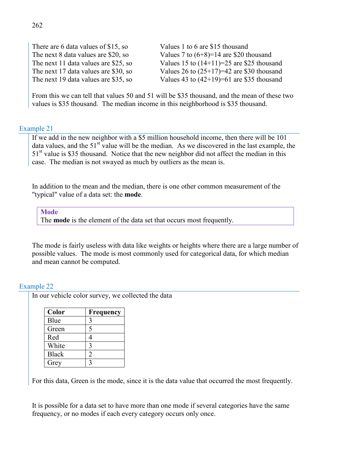There are 6 data values of \$15, so Values 1 to 6 are \$15 thousand

The next 8 data values are \$20, so Values 7 to  $(6+8)=14$  are \$20 thousand The next 11 data values are \$25, so Values 15 to  $(14+11)=25$  are \$25 thousand The next 17 data values are \$30, so Values 26 to  $(25+17)=42$  are \$30 thousand The next 19 data values are \$35, so Values 43 to  $(42+19)=61$  are \$35 thousand

From this we can tell that values 50 and 51 will be \$35 thousand, and the mean of these two values is \$35 thousand. The median income in this neighborhood is \$35 thousand.

#### Example 21

If we add in the new neighbor with a \$5 million household income, then there will be 101 data values, and the  $51<sup>st</sup>$  value will be the median. As we discovered in the last example, the 51<sup>st</sup> value is \$35 thousand. Notice that the new neighbor did not affect the median in this case. The median is not swayed as much by outliers as the mean is.

In addition to the mean and the median, there is one other common measurement of the "typical" value of a data set: the **mode**.

**Mode** The **mode** is the element of the data set that occurs most frequently.

The mode is fairly useless with data like weights or heights where there are a large number of possible values. The mode is most commonly used for categorical data, for which median and mean cannot be computed.

#### Example 22

In our vehicle color survey, we collected the data

| Color        | <b>Frequency</b> |
|--------------|------------------|
| Blue         | 3                |
| Green        | 5                |
| Red          |                  |
| White        | 3                |
| <b>Black</b> | າ                |
| Grey         |                  |

For this data, Green is the mode, since it is the data value that occurred the most frequently.

It is possible for a data set to have more than one mode if several categories have the same frequency, or no modes if each every category occurs only once.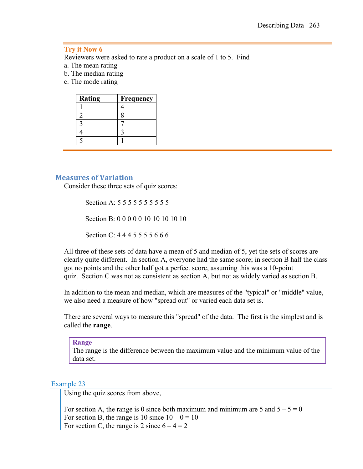#### **Try it Now 6**

Reviewers were asked to rate a product on a scale of 1 to 5. Find

- a. The mean rating
- b. The median rating
- c. The mode rating

| Rating | Frequency |
|--------|-----------|
|        |           |
|        |           |
|        |           |
|        |           |
|        |           |

#### **Measures of Variation**

Consider these three sets of quiz scores:

Section A: 5 5 5 5 5 5 5 5 5 5 5 Section B: 0 0 0 0 0 10 10 10 10 10 Section C: 4 4 4 5 5 5 5 6 6 6

All three of these sets of data have a mean of 5 and median of 5, yet the sets of scores are clearly quite different. In section A, everyone had the same score; in section B half the class got no points and the other half got a perfect score, assuming this was a 10-point quiz. Section C was not as consistent as section A, but not as widely varied as section B.

In addition to the mean and median, which are measures of the "typical" or "middle" value, we also need a measure of how "spread out" or varied each data set is.

There are several ways to measure this "spread" of the data. The first is the simplest and is called the **range**.

#### **Range**

The range is the difference between the maximum value and the minimum value of the data set.

#### Example 23

Using the quiz scores from above,

For section A, the range is 0 since both maximum and minimum are 5 and  $5 - 5 = 0$ For section B, the range is  $10 \text{ since } 10 - 0 = 10$ For section C, the range is 2 since  $6 - 4 = 2$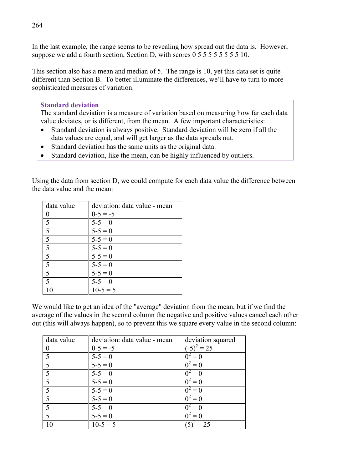In the last example, the range seems to be revealing how spread out the data is. However, suppose we add a fourth section, Section D, with scores 0 5 5 5 5 5 5 5 5 5 10.

This section also has a mean and median of 5. The range is 10, yet this data set is quite different than Section B. To better illuminate the differences, we'll have to turn to more sophisticated measures of variation.

### **Standard deviation**

The standard deviation is a measure of variation based on measuring how far each data value deviates, or is different, from the mean. A few important characteristics:

- Standard deviation is always positive. Standard deviation will be zero if all the data values are equal, and will get larger as the data spreads out.
- Standard deviation has the same units as the original data.
- Standard deviation, like the mean, can be highly influenced by outliers.

Using the data from section D, we could compute for each data value the difference between the data value and the mean:

| data value                           | deviation: data value - mean |
|--------------------------------------|------------------------------|
| $\theta$                             | $0-5 = -5$                   |
| 5                                    | $5 - 5 = 0$                  |
| $\overline{\overline{\overline{5}}}$ | $5 - 5 = 0$                  |
| $\overline{5}$                       | $5 - 5 = 0$                  |
| $\overline{5}$                       | $5 - 5 = 0$                  |
| $\overline{5}$                       | $5 - 5 = 0$                  |
| $\overline{5}$                       | $5 - 5 = 0$                  |
| $\overline{5}$                       | $5 - 5 = 0$                  |
| $\overline{5}$                       | $5 - 5 = 0$                  |
| 10                                   | $10-5=5$                     |

We would like to get an idea of the "average" deviation from the mean, but if we find the average of the values in the second column the negative and positive values cancel each other out (this will always happen), so to prevent this we square every value in the second column:

| data value               | deviation: data value - mean | deviation squared    |
|--------------------------|------------------------------|----------------------|
|                          | $0-5 = -5$                   | $(-5)^2 = 25$        |
| $\sim$                   | $5 - 5 = 0$                  | $\bar{0}^2 = 0$      |
|                          | $5 - 5 = 0$                  | $0^2 = 0$            |
| 5                        | $5 - 5 = 0$                  | $\overline{0}^2 = 0$ |
| 5                        | $5 - 5 = 0$                  | $\overline{0^2} = 0$ |
| $\overline{\mathcal{L}}$ | $5 - 5 = 0$                  | $0^2 = 0$            |
| -5                       | $5 - 5 = 0$                  | $\overline{0^2} = 0$ |
|                          | $5 - 5 = 0$                  | $0^2 = 0$            |
| 5                        | $5 - 5 = 0$                  | $0^2 = 0$            |
| 10                       | $\overline{10-5} = 5$        | $(5)^2 = 25$         |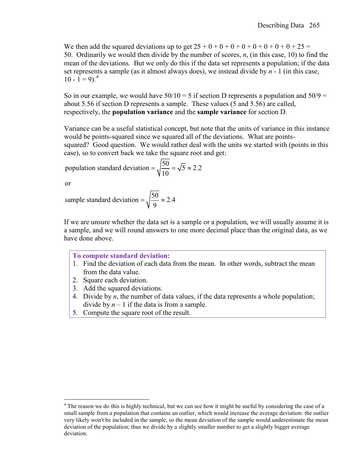We then add the squared deviations up to get  $25 + 0 + 0 + 0 + 0 + 0 + 0 + 0 + 0 + 25 =$ 50. Ordinarily we would then divide by the number of scores, *n*, (in this case, 10) to find the mean of the deviations. But we only do this if the data set represents a population; if the data set represents a sample (as it almost always does), we instead divide by *n* - 1 (in this case,  $10 - 1 = 9$ .

So in our example, we would have  $50/10 = 5$  if section D represents a population and  $50/9 =$ about 5.56 if section D represents a sample. These values (5 and 5.56) are called, respectively, the **population variance** and the **sample variance** for section D.

Variance can be a useful statistical concept, but note that the units of variance in this instance would be points-squared since we squared all of the deviations. What are pointssquared? Good question. We would rather deal with the units we started with (points in this case), so to convert back we take the square root and get:

population standard deviation =  $\sqrt{\frac{50}{10}} = \sqrt{5} \approx 2.2$ 

or

sample standard deviation =  $\sqrt{\frac{50}{9}} \approx 2.4$ 

If we are unsure whether the data set is a sample or a population, we will usually assume it is a sample, and we will round answers to one more decimal place than the original data, as we have done above.

#### **To compute standard deviation:**

- 1. Find the deviation of each data from the mean. In other words, subtract the mean from the data value.
- 2. Square each deviation.
- 3. Add the squared deviations.
- 4. Divide by *n*, the number of data values, if the data represents a whole population; divide by  $n-1$  if the data is from a sample.
- 5. Compute the square root of the result.

<span id="page-18-0"></span> $4$  The reason we do this is highly technical, but we can see how it might be useful by considering the case of a small sample from a population that contains an outlier, which would increase the average deviation: the outlier very likely won't be included in the sample, so the mean deviation of the sample would underestimate the mean deviation of the population; thus we divide by a slightly smaller number to get a slightly bigger average deviation.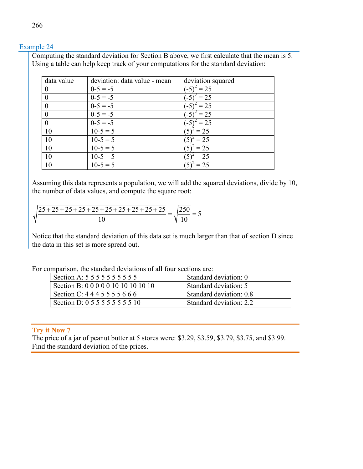Computing the standard deviation for Section B above, we first calculate that the mean is 5. Using a table can help keep track of your computations for the standard deviation:

| data value     | deviation: data value - mean | deviation squared    |
|----------------|------------------------------|----------------------|
| 0              | $0-5 = -5$                   | $z^2 = 25$           |
| $\theta$       | $0-5 = -5$                   | $^{2} = 25$<br>$-5)$ |
| $\overline{0}$ | $0-5 = -5$                   | $t^2 = 25$           |
| $\overline{0}$ | $0-5 = -5$                   | $= 25$               |
| $\theta$       | $0-5 = -5$                   | $t^2 = 25$<br>$-5)$  |
| 10             | $10-5=5$                     | $^{2} = 25$          |
| 10             | $10-5=5$                     | $= 25$               |
| 10             | $10-5=5$                     | $z^2 = 25$           |
| 10             | $10-5=5$                     | $= 25$               |
| 10             | $10-5=5$                     | $= 25$               |

Assuming this data represents a population, we will add the squared deviations, divide by 10, the number of data values, and compute the square root:

$$
\sqrt{\frac{25+25+25+25+25+25+25+25+25+25}{10}} = \sqrt{\frac{250}{10}} = 5
$$

Notice that the standard deviation of this data set is much larger than that of section D since the data in this set is more spread out.

| For comparison, the standard deviations of all four sections are: |  |  |  |  |  |  |
|-------------------------------------------------------------------|--|--|--|--|--|--|
|-------------------------------------------------------------------|--|--|--|--|--|--|

| Section A: 5 5 5 5 5 5 5 5 5 5 5    | Standard deviation: 0   |
|-------------------------------------|-------------------------|
| Section B: 0 0 0 0 0 10 10 10 10 10 | Standard deviation: 5   |
| Section C: 4 4 4 5 5 5 5 6 6 6      | Standard deviation: 0.8 |
| Section D: 0 5 5 5 5 5 5 5 5 10     | Standard deviation: 2.2 |

#### **Try it Now 7**

The price of a jar of peanut butter at 5 stores were: \$3.29, \$3.59, \$3.79, \$3.75, and \$3.99. Find the standard deviation of the prices.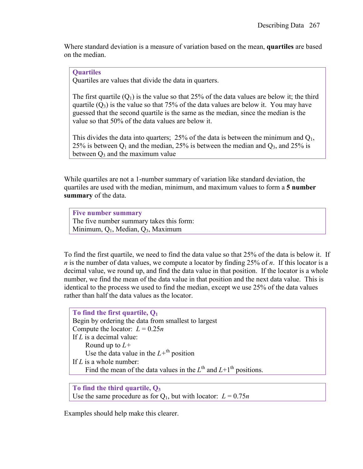Where standard deviation is a measure of variation based on the mean, **quartiles** are based on the median.

### **Quartiles**

Quartiles are values that divide the data in quarters.

The first quartile  $(Q_1)$  is the value so that 25% of the data values are below it; the third quartile  $(Q_3)$  is the value so that 75% of the data values are below it. You may have guessed that the second quartile is the same as the median, since the median is the value so that 50% of the data values are below it.

This divides the data into quarters; 25% of the data is between the minimum and  $Q_1$ , 25% is between  $Q_1$  and the median, 25% is between the median and  $Q_3$ , and 25% is between  $Q_3$  and the maximum value

While quartiles are not a 1-number summary of variation like standard deviation, the quartiles are used with the median, minimum, and maximum values to form a **5 number summary** of the data.

**Five number summary** The five number summary takes this form: Minimum, Q1, Median, Q3, Maximum

To find the first quartile, we need to find the data value so that 25% of the data is below it. If *n* is the number of data values, we compute a locator by finding 25% of *n*. If this locator is a decimal value, we round up, and find the data value in that position. If the locator is a whole number, we find the mean of the data value in that position and the next data value. This is identical to the process we used to find the median, except we use 25% of the data values rather than half the data values as the locator.

| To find the first quartile, $Q_1$                                    |
|----------------------------------------------------------------------|
| Begin by ordering the data from smallest to largest                  |
| Compute the locator: $L = 0.25n$                                     |
| If $L$ is a decimal value:                                           |
| Round up to $L+$                                                     |
| Use the data value in the $L^{+th}$ position                         |
| If $L$ is a whole number:                                            |
| Find the mean of the data values in the $Lth$ and $L+1th$ positions. |
|                                                                      |

**To find the third quartile, Q3** Use the same procedure as for  $Q_1$ , but with locator:  $L = 0.75n$ 

Examples should help make this clearer.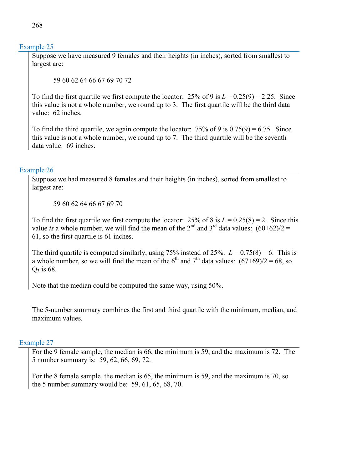Suppose we have measured 9 females and their heights (in inches), sorted from smallest to largest are:

59 60 62 64 66 67 69 70 72

To find the first quartile we first compute the locator:  $25\%$  of 9 is  $L = 0.25(9) = 2.25$ . Since this value is not a whole number, we round up to 3. The first quartile will be the third data value: 62 inches.

To find the third quartile, we again compute the locator:  $75\%$  of 9 is  $0.75(9) = 6.75$ . Since this value is not a whole number, we round up to 7. The third quartile will be the seventh data value: 69 inches.

### Example 26

Suppose we had measured 8 females and their heights (in inches), sorted from smallest to largest are:

59 60 62 64 66 67 69 70

To find the first quartile we first compute the locator:  $25\%$  of 8 is  $L = 0.25(8) = 2$ . Since this value *is* a whole number, we will find the mean of the  $2^{nd}$  and  $3^{rd}$  data values:  $(60+62)/2 =$ 61, so the first quartile is 61 inches.

The third quartile is computed similarly, using  $75\%$  instead of  $25\%$ .  $L = 0.75(8) = 6$ . This is a whole number, so we will find the mean of the 6<sup>th</sup> and 7<sup>th</sup> data values:  $(67+69)/2 = 68$ , so  $Q_3$  is 68.

Note that the median could be computed the same way, using 50%.

The 5-number summary combines the first and third quartile with the minimum, median, and maximum values.

#### Example 27

For the 9 female sample, the median is 66, the minimum is 59, and the maximum is 72. The 5 number summary is: 59, 62, 66, 69, 72.

For the 8 female sample, the median is 65, the minimum is 59, and the maximum is 70, so the 5 number summary would be: 59, 61, 65, 68, 70.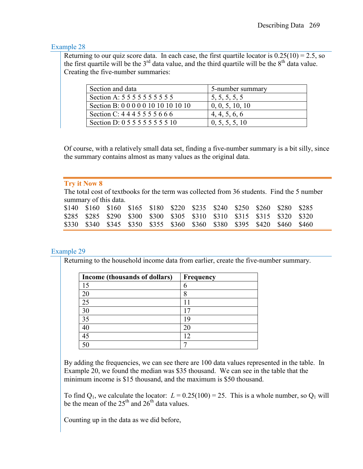Returning to our quiz score data. In each case, the first quartile locator is  $0.25(10) = 2.5$ , so the first quartile will be the  $3<sup>rd</sup>$  data value, and the third quartile will be the  $8<sup>th</sup>$  data value. Creating the five-number summaries:

| Section and data                    | 5-number summary |
|-------------------------------------|------------------|
| Section A: 5 5 5 5 5 5 5 5 5 5 5    | 5, 5, 5, 5, 5    |
| Section B: 0 0 0 0 0 10 10 10 10 10 | 0, 0, 5, 10, 10  |
| Section C: 4445555666               | 4, 4, 5, 6, 6    |
| Section D: 0 5 5 5 5 5 5 5 5 10     | 0, 5, 5, 5, 10   |

Of course, with a relatively small data set, finding a five-number summary is a bit silly, since the summary contains almost as many values as the original data.

### **Try it Now 8**

The total cost of textbooks for the term was collected from 36 students. Find the 5 number summary of this data.

|  | \$140 \$160 \$160 \$165 \$180 \$220 \$235 \$240 \$250 \$260 \$280 \$285 |  |  |  |  |  |
|--|-------------------------------------------------------------------------|--|--|--|--|--|
|  | \$285 \$285 \$290 \$300 \$300 \$305 \$310 \$310 \$315 \$315 \$320 \$320 |  |  |  |  |  |
|  | \$330 \$340 \$345 \$350 \$355 \$360 \$360 \$380 \$395 \$420 \$460 \$460 |  |  |  |  |  |

#### Example 29

Returning to the household income data from earlier, create the five-number summary.

| Income (thousands of dollars) | Frequency |
|-------------------------------|-----------|
| 15                            | 6         |
|                               | 8         |
| 25                            |           |
| 30                            |           |
| 35                            |           |
|                               |           |
| 45                            |           |
|                               |           |

By adding the frequencies, we can see there are 100 data values represented in the table. In Example 20, we found the median was \$35 thousand. We can see in the table that the minimum income is \$15 thousand, and the maximum is \$50 thousand.

To find  $Q_1$ , we calculate the locator:  $L = 0.25(100) = 25$ . This is a whole number, so  $Q_1$  will be the mean of the  $25<sup>th</sup>$  and  $26<sup>th</sup>$  data values.

Counting up in the data as we did before,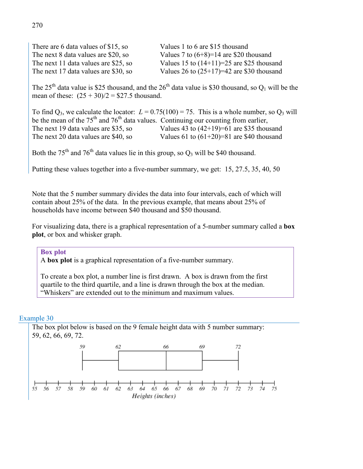There are 6 data values of \$15, so Values 1 to 6 are \$15 thousand The next 8 data values are \$20, so Values 7 to  $(6+8)=14$  are \$20 thousand The next 11 data values are \$25, so Values 15 to  $(14+11)=25$  are \$25 thousand The next 17 data values are \$30, so Values 26 to  $(25+17)=42$  are \$30 thousand

The  $25<sup>th</sup>$  data value is \$25 thousand, and the  $26<sup>th</sup>$  data value is \$30 thousand, so  $O<sub>1</sub>$  will be the mean of these:  $(25 + 30)/2 = $27.5$  thousand.

To find  $Q_3$ , we calculate the locator:  $L = 0.75(100) = 75$ . This is a whole number, so  $Q_3$  will be the mean of the  $75<sup>th</sup>$  and  $76<sup>th</sup>$  data values. Continuing our counting from earlier, The next 19 data values are \$35, so Values 43 to  $(42+19)=61$  are \$35 thousand The next 20 data values are \$40, so Values 61 to  $(61+20)=81$  are \$40 thousand

Both the 75<sup>th</sup> and 76<sup>th</sup> data values lie in this group, so  $Q_3$  will be \$40 thousand.

Putting these values together into a five-number summary, we get: 15, 27.5, 35, 40, 50

Note that the 5 number summary divides the data into four intervals, each of which will contain about 25% of the data. In the previous example, that means about 25% of households have income between \$40 thousand and \$50 thousand.

For visualizing data, there is a graphical representation of a 5-number summary called a **box plot**, or box and whisker graph.

#### **Box plot**

A **box plot** is a graphical representation of a five-number summary.

To create a box plot, a number line is first drawn. A box is drawn from the first quartile to the third quartile, and a line is drawn through the box at the median. "Whiskers" are extended out to the minimum and maximum values.

#### Example 30

The box plot below is based on the 9 female height data with 5 number summary: 59, 62, 66, 69, 72.

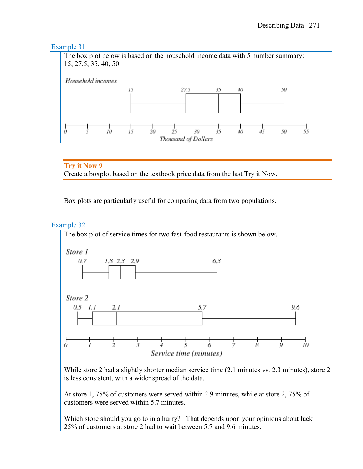

**Try it Now 9** Create a boxplot based on the textbook price data from the last Try it Now.

Box plots are particularly useful for comparing data from two populations.

### Example 32

The box plot of service times for two fast-food restaurants is shown below.



While store 2 had a slightly shorter median service time (2.1 minutes vs. 2.3 minutes), store 2 is less consistent, with a wider spread of the data.

At store 1, 75% of customers were served within 2.9 minutes, while at store 2, 75% of customers were served within 5.7 minutes.

Which store should you go to in a hurry? That depends upon your opinions about luck – 25% of customers at store 2 had to wait between 5.7 and 9.6 minutes.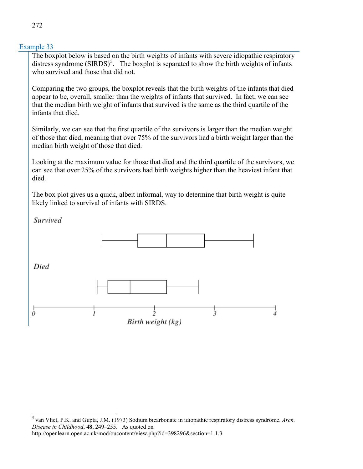The boxplot below is based on the birth weights of infants with severe idiopathic respiratory distress syndrome  $(SIRDS)^5$  $(SIRDS)^5$ . The boxplot is separated to show the birth weights of infants who survived and those that did not.

Comparing the two groups, the boxplot reveals that the birth weights of the infants that died appear to be, overall, smaller than the weights of infants that survived. In fact, we can see that the median birth weight of infants that survived is the same as the third quartile of the infants that died.

Similarly, we can see that the first quartile of the survivors is larger than the median weight of those that died, meaning that over 75% of the survivors had a birth weight larger than the median birth weight of those that died.

Looking at the maximum value for those that died and the third quartile of the survivors, we can see that over 25% of the survivors had birth weights higher than the heaviest infant that died.

The box plot gives us a quick, albeit informal, way to determine that birth weight is quite likely linked to survival of infants with SIRDS.

**Survived** 



<span id="page-25-0"></span> <sup>5</sup> van Vliet, P.K. and Gupta, J.M. (1973) Sodium bicarbonate in idiopathic respiratory distress syndrome. *Arch. Disease in Childhood*, **48**, 249–255. As quoted on

http://openlearn.open.ac.uk/mod/oucontent/view.php?id=398296&section=1.1.3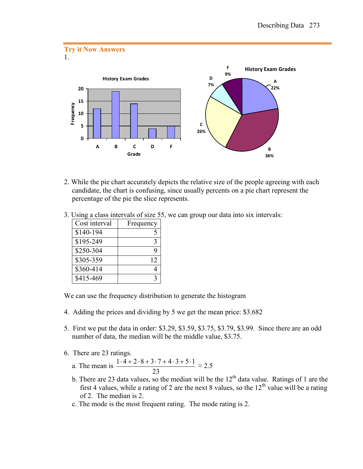

- 2. While the pie chart accurately depicts the relative size of the people agreeing with each candidate, the chart is confusing, since usually percents on a pie chart represent the percentage of the pie the slice represents.
- 3. Using a class intervals of size 55, we can group our data into six intervals:

| Cost interval | Frequency |
|---------------|-----------|
| \$140-194     |           |
| \$195-249     | З         |
| \$250-304     | q         |
| \$305-359     | 12        |
| \$360-414     |           |
| \$415-469     |           |

We can use the frequency distribution to generate the histogram

- 4. Adding the prices and dividing by 5 we get the mean price: \$3.682
- 5. First we put the data in order: \$3.29, \$3.59, \$3.75, \$3.79, \$3.99. Since there are an odd number of data, the median will be the middle value, \$3.75.
- 6. There are 23 ratings.

a. The mean is 23  $\frac{1 \cdot 4 + 2 \cdot 8 + 3 \cdot 7 + 4 \cdot 3 + 5 \cdot 1}{22} \approx 2.5$ 

- b. There are 23 data values, so the median will be the  $12<sup>th</sup>$  data value. Ratings of 1 are the first 4 values, while a rating of 2 are the next 8 values, so the  $12<sup>th</sup>$  value will be a rating of 2. The median is 2.
- c. The mode is the most frequent rating. The mode rating is 2.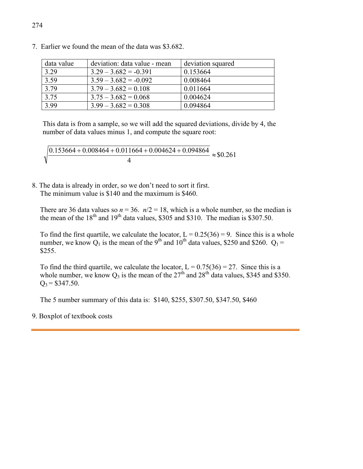| data value | deviation: data value - mean | deviation squared |
|------------|------------------------------|-------------------|
| 3.29       | $3.29 - 3.682 = -0.391$      | 0.153664          |
| 3.59       | $3.59 - 3.682 = -0.092$      | 0.008464          |
| 3.79       | $3.79 - 3.682 = 0.108$       | 0.011664          |
| 3.75       | $3.75 - 3.682 = 0.068$       | 0.004624          |
| 3.99       | $3.99 - 3.682 = 0.308$       | 0.094864          |

7. Earlier we found the mean of the data was \$3.682.

This data is from a sample, so we will add the squared deviations, divide by 4, the number of data values minus 1, and compute the square root:

$$
\sqrt{\frac{0.153664 + 0.008464 + 0.011664 + 0.004624 + 0.094864}{4}} \approx $0.261
$$

8. The data is already in order, so we don't need to sort it first. The minimum value is \$140 and the maximum is \$460.

There are 36 data values so  $n = 36$ .  $n/2 = 18$ , which is a whole number, so the median is the mean of the  $18^{th}$  and  $19^{th}$  data values, \$305 and \$310. The median is \$307.50.

To find the first quartile, we calculate the locator,  $L = 0.25(36) = 9$ . Since this is a whole number, we know  $Q_1$  is the mean of the 9<sup>th</sup> and 10<sup>th</sup> data values, \$250 and \$260.  $Q_1 =$ \$255.

To find the third quartile, we calculate the locator,  $L = 0.75(36) = 27$ . Since this is a whole number, we know  $Q_3$  is the mean of the 27<sup>th</sup> and 28<sup>th</sup> data values, \$345 and \$350.  $Q_3 = $347.50$ .

The 5 number summary of this data is: \$140, \$255, \$307.50, \$347.50, \$460

#### 9. Boxplot of textbook costs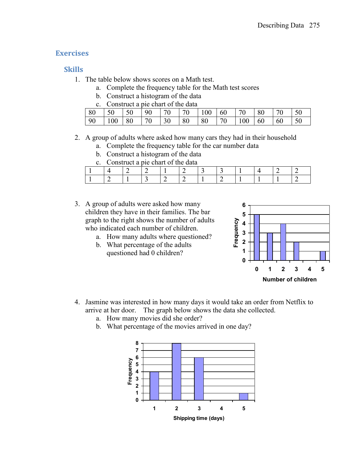# **Exercises**

# **Skills**

- 1. The table below shows scores on a Math test.
	- a. Complete the frequency table for the Math test scores
	- b. Construct a histogram of the data

|      | Construct a pie chart of the data |    |                 |           |    |                  |                 |                 |     |                  |  |
|------|-----------------------------------|----|-----------------|-----------|----|------------------|-----------------|-----------------|-----|------------------|--|
| 80   | $150$ 150                         |    | 90              | <b>70</b> | 70 | $100 \,   \, 60$ |                 | $\overline{20}$ | -80 |                  |  |
| - 90 | 100                               | 80 | $\overline{70}$ | 30        | 80 | 80               | $\overline{70}$ | $100 \ 60$      |     | $\vert 60 \vert$ |  |

# 2. A group of adults where asked how many cars they had in their household

- a. Complete the frequency table for the car number data
- b. Construct a histogram of the data
- c. Construct a pie chart of the data

- 3. A group of adults were asked how many children they have in their families. The bar graph to the right shows the number of adults who indicated each number of children.
	- a. How many adults where questioned?
	- b. What percentage of the adults questioned had 0 children?



- 4. Jasmine was interested in how many days it would take an order from Netflix to arrive at her door. The graph below shows the data she collected.
	- a. How many movies did she order?
	- b. What percentage of the movies arrived in one day?

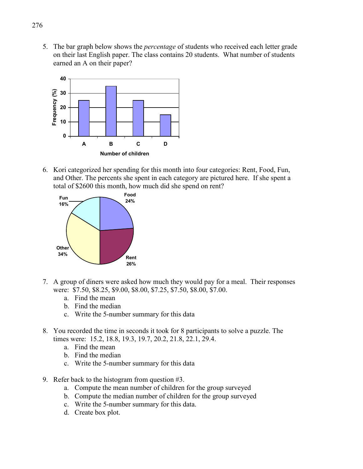5. The bar graph below shows the *percentage* of students who received each letter grade on their last English paper. The class contains 20 students. What number of students earned an A on their paper?



6. Kori categorized her spending for this month into four categories: Rent, Food, Fun, and Other. The percents she spent in each category are pictured here. If she spent a total of \$2600 this month, how much did she spend on rent?



- 7. A group of diners were asked how much they would pay for a meal. Their responses were: \$7.50, \$8.25, \$9.00, \$8.00, \$7.25, \$7.50, \$8.00, \$7.00.
	- a. Find the mean
	- b. Find the median
	- c. Write the 5-number summary for this data
- 8. You recorded the time in seconds it took for 8 participants to solve a puzzle. The times were: 15.2, 18.8, 19.3, 19.7, 20.2, 21.8, 22.1, 29.4.
	- a. Find the mean
	- b. Find the median
	- c. Write the 5-number summary for this data
- 9. Refer back to the histogram from question #3.
	- a. Compute the mean number of children for the group surveyed
	- b. Compute the median number of children for the group surveyed
	- c. Write the 5-number summary for this data.
	- d. Create box plot.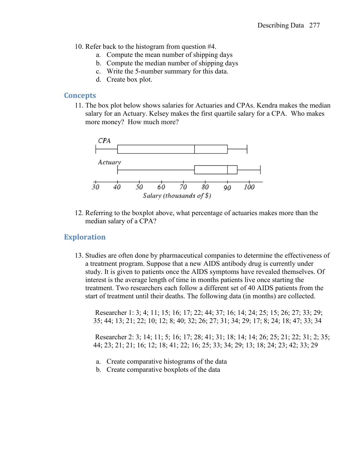- 10. Refer back to the histogram from question #4.
	- a. Compute the mean number of shipping days
	- b. Compute the median number of shipping days
	- c. Write the 5-number summary for this data.
	- d. Create box plot.

### **Concepts**

11. The box plot below shows salaries for Actuaries and CPAs. Kendra makes the median salary for an Actuary. Kelsey makes the first quartile salary for a CPA. Who makes more money? How much more?



12. Referring to the boxplot above, what percentage of actuaries makes more than the median salary of a CPA?

# **Exploration**

13. Studies are often done by pharmaceutical companies to determine the effectiveness of a treatment program. Suppose that a new AIDS antibody drug is currently under study. It is given to patients once the AIDS symptoms have revealed themselves. Of interest is the average length of time in months patients live once starting the treatment. Two researchers each follow a different set of 40 AIDS patients from the start of treatment until their deaths. The following data (in months) are collected.

Researcher 1: 3; 4; 11; 15; 16; 17; 22; 44; 37; 16; 14; 24; 25; 15; 26; 27; 33; 29; 35; 44; 13; 21; 22; 10; 12; 8; 40; 32; 26; 27; 31; 34; 29; 17; 8; 24; 18; 47; 33; 34

Researcher 2: 3; 14; 11; 5; 16; 17; 28; 41; 31; 18; 14; 14; 26; 25; 21; 22; 31; 2; 35; 44; 23; 21; 21; 16; 12; 18; 41; 22; 16; 25; 33; 34; 29; 13; 18; 24; 23; 42; 33; 29

- a. Create comparative histograms of the data
- b. Create comparative boxplots of the data